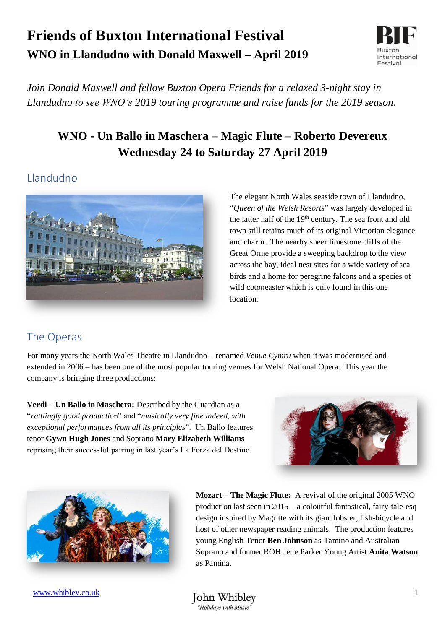# **Friends of Buxton International Festival WNO in Llandudno with Donald Maxwell – April 2019**



*Join Donald Maxwell and fellow Buxton Opera Friends for a relaxed 3-night stay in Llandudno to see WNO's 2019 touring programme and raise funds for the 2019 season.*

# **WNO - Un Ballo in Maschera – Magic Flute – Roberto Devereux Wednesday 24 to Saturday 27 April 2019**

#### Llandudno



The elegant North Wales seaside town of Llandudno, "*Queen of the Welsh Resorts*" was largely developed in the latter half of the 19<sup>th</sup> century. The sea front and old town still retains much of its original Victorian elegance and charm. The nearby sheer limestone cliffs of the Great Orme provide a sweeping backdrop to the view across the bay, ideal nest sites for a wide variety of sea birds and a home for peregrine falcons and a species of wild cotoneaster which is only found in this one location.

# The Operas

For many years the North Wales Theatre in Llandudno – renamed *Venue Cymru* when it was modernised and extended in 2006 – has been one of the most popular touring venues for Welsh National Opera. This year the company is bringing three productions:

**Verdi – Un Ballo in Maschera:** Described by the Guardian as a "*rattlingly good productio*n" and "*musically very fine indeed, with exceptional performances from all its principles*". Un Ballo features tenor **Gywn Hugh Jones** and Soprano **Mary Elizabeth Williams** reprising their successful pairing in last year's La Forza del Destino.





**Mozart – The Magic Flute:** A revival of the original 2005 WNO production last seen in 2015 – a colourful fantastical, fairy-tale-esq design inspired by Magritte with its giant lobster, fish-bicycle and host of other newspaper reading animals. The production features young English Tenor **Ben Johnson** as Tamino and Australian Soprano and former ROH Jette Parker Young Artist **Anita Watson** as Pamina.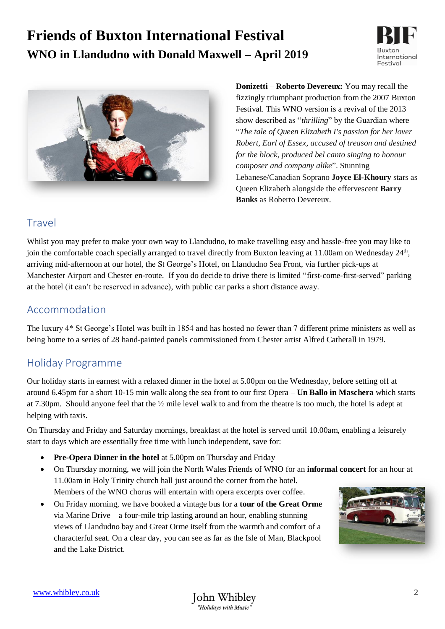# **Friends of Buxton International Festival WNO in Llandudno with Donald Maxwell – April 2019**





**Donizetti – Roberto Devereux:** You may recall the fizzingly triumphant production from the 2007 Buxton Festival. This WNO version is a revival of the 2013 show described as "*thrilling*" by the Guardian where "*The tale of Queen Elizabeth I's passion for her lover Robert, Earl of Essex, accused of treason and destined for the block, produced bel canto singing to honour composer and company alike*". Stunning Lebanese/Canadian Soprano **Joyce El-Khoury** stars as Queen Elizabeth alongside the effervescent **Barry Banks** as Roberto Devereux.

# Travel

Whilst you may prefer to make your own way to Llandudno, to make travelling easy and hassle-free you may like to join the comfortable coach specially arranged to travel directly from Buxton leaving at 11.00am on Wednesday 24<sup>th</sup>, arriving mid-afternoon at our hotel, the St George's Hotel, on Llandudno Sea Front, via further pick-ups at Manchester Airport and Chester en-route. If you do decide to drive there is limited "first-come-first-served" parking at the hotel (it can't be reserved in advance), with public car parks a short distance away.

#### Accommodation

The luxury 4\* St George's Hotel was built in 1854 and has hosted no fewer than 7 different prime ministers as well as being home to a series of 28 hand-painted panels commissioned from Chester artist Alfred Catherall in 1979.

# Holiday Programme

Our holiday starts in earnest with a relaxed dinner in the hotel at 5.00pm on the Wednesday, before setting off at around 6.45pm for a short 10-15 min walk along the sea front to our first Opera – **Un Ballo in Maschera** which starts at 7.30pm. Should anyone feel that the ½ mile level walk to and from the theatre is too much, the hotel is adept at helping with taxis.

On Thursday and Friday and Saturday mornings, breakfast at the hotel is served until 10.00am, enabling a leisurely start to days which are essentially free time with lunch independent, save for:

- **Pre-Opera Dinner in the hotel** at 5.00pm on Thursday and Friday
- On Thursday morning, we will join the North Wales Friends of WNO for an **informal concert** for an hour at 11.00am in Holy Trinity church hall just around the corner from the hotel. Members of the WNO chorus will entertain with opera excerpts over coffee.
- On Friday morning, we have booked a vintage bus for a **tour of the Great Orme**  via Marine Drive – a four-mile trip lasting around an hour, enabling stunning views of Llandudno bay and Great Orme itself from the warmth and comfort of a characterful seat. On a clear day, you can see as far as the Isle of Man, Blackpool and the Lake District.